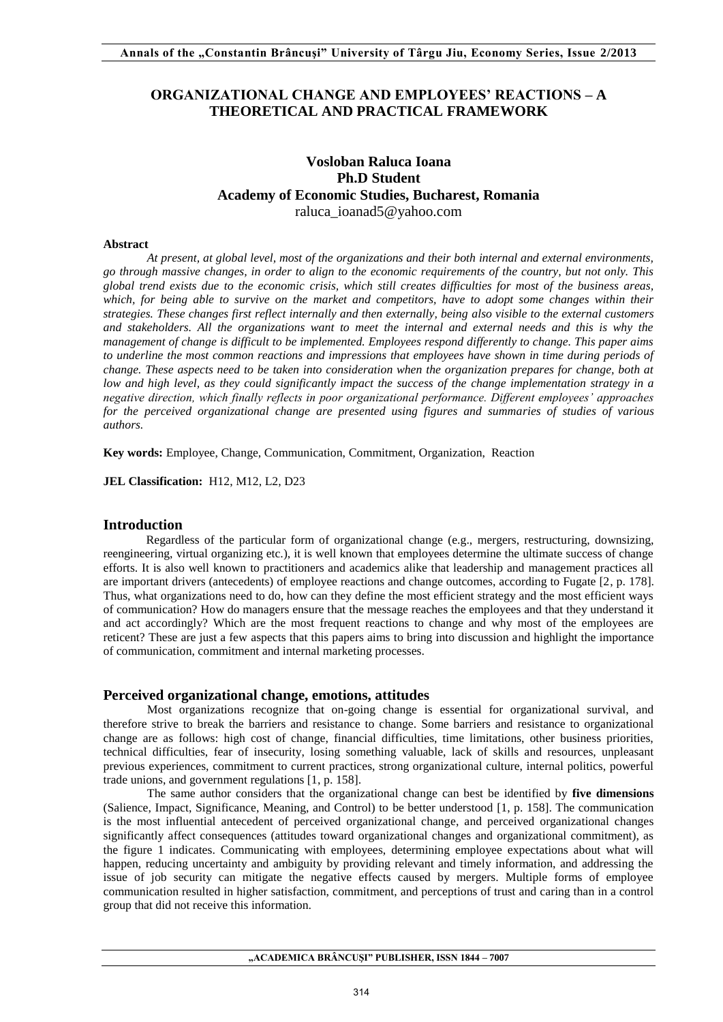# **ORGANIZATIONAL CHANGE AND EMPLOYEES' REACTIONS – A THEORETICAL AND PRACTICAL FRAMEWORK**

# **Vosloban Raluca Ioana Ph.D Student Academy of Economic Studies, Bucharest, Romania**  [raluca\\_ioanad5@yahoo.com](mailto:raluca_ioanad5@yahoo.com)

#### **Abstract**

*At present, at global level, most of the organizations and their both internal and external environments, go through massive changes, in order to align to the economic requirements of the country, but not only. This global trend exists due to the economic crisis, which still creates difficulties for most of the business areas, which, for being able to survive on the market and competitors, have to adopt some changes within their strategies. These changes first reflect internally and then externally, being also visible to the external customers and stakeholders. All the organizations want to meet the internal and external needs and this is why the management of change is difficult to be implemented. Employees respond differently to change. This paper aims to underline the most common reactions and impressions that employees have shown in time during periods of change. These aspects need to be taken into consideration when the organization prepares for change, both at low and high level, as they could significantly impact the success of the change implementation strategy in a negative direction, which finally reflects in poor organizational performance. Different employees' approaches for the perceived organizational change are presented using figures and summaries of studies of various authors.* 

**Key words:** Employee, Change, Communication, Commitment, Organization, Reaction

**JEL Classification:** H12, M12, L2, D23

## **Introduction**

Regardless of the particular form of organizational change (e.g., mergers, restructuring, downsizing, reengineering, virtual organizing etc.), it is well known that employees determine the ultimate success of change efforts. It is also well known to practitioners and academics alike that leadership and management practices all are important drivers (antecedents) of employee reactions and change outcomes, according to Fugate [2, p. 178]. Thus, what organizations need to do, how can they define the most efficient strategy and the most efficient ways of communication? How do managers ensure that the message reaches the employees and that they understand it and act accordingly? Which are the most frequent reactions to change and why most of the employees are reticent? These are just a few aspects that this papers aims to bring into discussion and highlight the importance of communication, commitment and internal marketing processes.

## **Perceived organizational change, emotions, attitudes**

Most organizations recognize that on-going change is essential for organizational survival, and therefore strive to break the barriers and resistance to change. Some barriers and resistance to organizational change are as follows: high cost of change, financial difficulties, time limitations, other business priorities, technical difficulties, fear of insecurity, losing something valuable, lack of skills and resources, unpleasant previous experiences, commitment to current practices, strong organizational culture, internal politics, powerful trade unions, and government regulations [1, p. 158].

The same author considers that the organizational change can best be identified by **five dimensions** (Salience, Impact, Significance, Meaning, and Control) to be better understood [1, p. 158]. The communication is the most influential antecedent of perceived organizational change, and perceived organizational changes significantly affect consequences (attitudes toward organizational changes and organizational commitment), as the figure 1 indicates. Communicating with employees, determining employee expectations about what will happen, reducing uncertainty and ambiguity by providing relevant and timely information, and addressing the issue of job security can mitigate the negative effects caused by mergers. Multiple forms of employee communication resulted in higher satisfaction, commitment, and perceptions of trust and caring than in a control group that did not receive this information.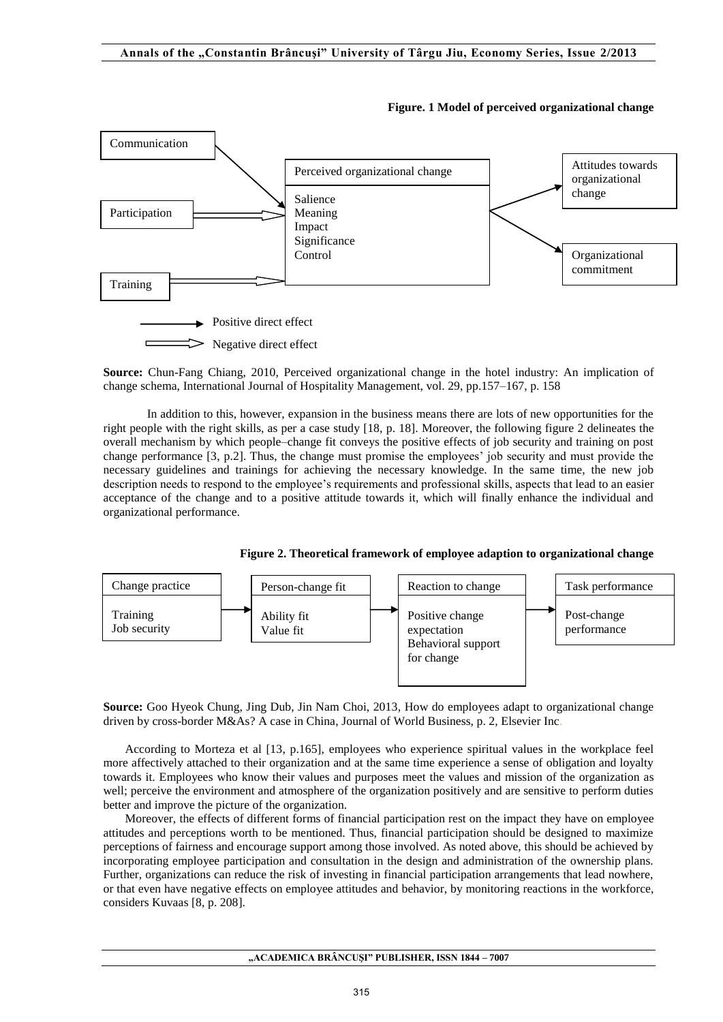

**Figure. 1 Model of perceived organizational change** 

**Source:** Chun-Fang Chiang, 2010, Perceived organizational change in the hotel industry: An implication of change schema, International Journal of Hospitality Management, vol. 29, pp.157–167, p. 158

In addition to this, however, expansion in the business means there are lots of new opportunities for the right people with the right skills, as per a case study [18, p. 18]. Moreover, the following figure 2 delineates the overall mechanism by which people–change fit conveys the positive effects of job security and training on post change performance [3, p.2]. Thus, the change must promise the employees' job security and must provide the necessary guidelines and trainings for achieving the necessary knowledge. In the same time, the new job description needs to respond to the employee's requirements and professional skills, aspects that lead to an easier acceptance of the change and to a positive attitude towards it, which will finally enhance the individual and organizational performance.

**Figure 2. Theoretical framework of employee adaption to organizational change** 



**Source:** Goo Hyeok Chung, Jing Dub, Jin Nam Choi, 2013*,* How do employees adapt to organizational change driven by cross-border M&As? A case in China, Journal of World Business, p. 2, Elsevier Inc.

According to Morteza et al [13, p.165], employees who experience spiritual values in the workplace feel more affectively attached to their organization and at the same time experience a sense of obligation and loyalty towards it. Employees who know their values and purposes meet the values and mission of the organization as well; perceive the environment and atmosphere of the organization positively and are sensitive to perform duties better and improve the picture of the organization.

Moreover, the effects of different forms of financial participation rest on the impact they have on employee attitudes and perceptions worth to be mentioned. Thus, financial participation should be designed to maximize perceptions of fairness and encourage support among those involved. As noted above, this should be achieved by incorporating employee participation and consultation in the design and administration of the ownership plans. Further, organizations can reduce the risk of investing in financial participation arrangements that lead nowhere, or that even have negative effects on employee attitudes and behavior, by monitoring reactions in the workforce, considers Kuvaas [8, p. 208].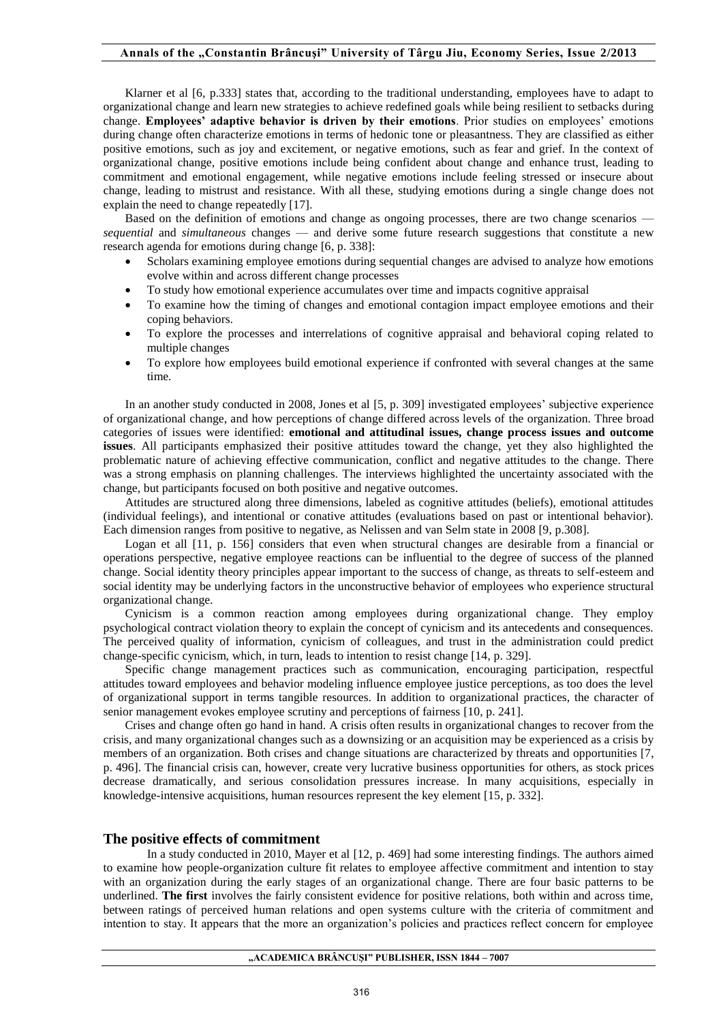Klarner et al [6, p.333] states that, according to the traditional understanding, employees have to adapt to organizational change and learn new strategies to achieve redefined goals while being resilient to setbacks during change. **Employees' adaptive behavior is driven by their emotions**. Prior studies on employees' emotions during change often characterize emotions in terms of hedonic tone or pleasantness. They are classified as either positive emotions, such as joy and excitement, or negative emotions, such as fear and grief. In the context of organizational change, positive emotions include being confident about change and enhance trust, leading to commitment and emotional engagement, while negative emotions include feeling stressed or insecure about change, leading to mistrust and resistance. With all these, studying emotions during a single change does not explain the need to change repeatedly [17].

Based on the definition of emotions and change as ongoing processes, there are two change scenarios *sequential* and *simultaneous* changes — and derive some future research suggestions that constitute a new research agenda for emotions during change [6, p. 338]:

- Scholars examining employee emotions during sequential changes are advised to analyze how emotions evolve within and across different change processes
- To study how emotional experience accumulates over time and impacts cognitive appraisal
- To examine how the timing of changes and emotional contagion impact employee emotions and their coping behaviors.
- To explore the processes and interrelations of cognitive appraisal and behavioral coping related to multiple changes
- To explore how employees build emotional experience if confronted with several changes at the same time.

In an another study conducted in 2008, Jones et al [5, p. 309] investigated employees' subjective experience of organizational change, and how perceptions of change differed across levels of the organization. Three broad categories of issues were identified: **emotional and attitudinal issues, change process issues and outcome issues**. All participants emphasized their positive attitudes toward the change, yet they also highlighted the problematic nature of achieving effective communication, conflict and negative attitudes to the change. There was a strong emphasis on planning challenges. The interviews highlighted the uncertainty associated with the change, but participants focused on both positive and negative outcomes.

Attitudes are structured along three dimensions, labeled as cognitive attitudes (beliefs), emotional attitudes (individual feelings), and intentional or conative attitudes (evaluations based on past or intentional behavior). Each dimension ranges from positive to negative, as Nelissen and van Selm state in 2008 [9, p.308].

Logan et all [11, p. 156] considers that even when structural changes are desirable from a financial or operations perspective, negative employee reactions can be influential to the degree of success of the planned change. Social identity theory principles appear important to the success of change, as threats to self-esteem and social identity may be underlying factors in the unconstructive behavior of employees who experience structural organizational change.

Cynicism is a common reaction among employees during organizational change. They employ psychological contract violation theory to explain the concept of cynicism and its antecedents and consequences. The perceived quality of information, cynicism of colleagues, and trust in the administration could predict change-specific cynicism, which, in turn, leads to intention to resist change [14, p. 329].

Specific change management practices such as communication, encouraging participation, respectful attitudes toward employees and behavior modeling influence employee justice perceptions, as too does the level of organizational support in terms tangible resources. In addition to organizational practices, the character of senior management evokes employee scrutiny and perceptions of fairness [10, p. 241].

Crises and change often go hand in hand. A crisis often results in organizational changes to recover from the crisis, and many organizational changes such as a downsizing or an acquisition may be experienced as a crisis by members of an organization. Both crises and change situations are characterized by threats and opportunities [7, p. 496]. The financial crisis can, however, create very lucrative business opportunities for others, as stock prices decrease dramatically, and serious consolidation pressures increase. In many acquisitions, especially in knowledge-intensive acquisitions, human resources represent the key element [15, p. 332].

## **The positive effects of commitment**

In a study conducted in 2010, Mayer et al [12, p. 469] had some interesting findings. The authors aimed to examine how people-organization culture fit relates to employee affective commitment and intention to stay with an organization during the early stages of an organizational change. There are four basic patterns to be underlined. **The first** involves the fairly consistent evidence for positive relations, both within and across time, between ratings of perceived human relations and open systems culture with the criteria of commitment and intention to stay. It appears that the more an organization's policies and practices reflect concern for employee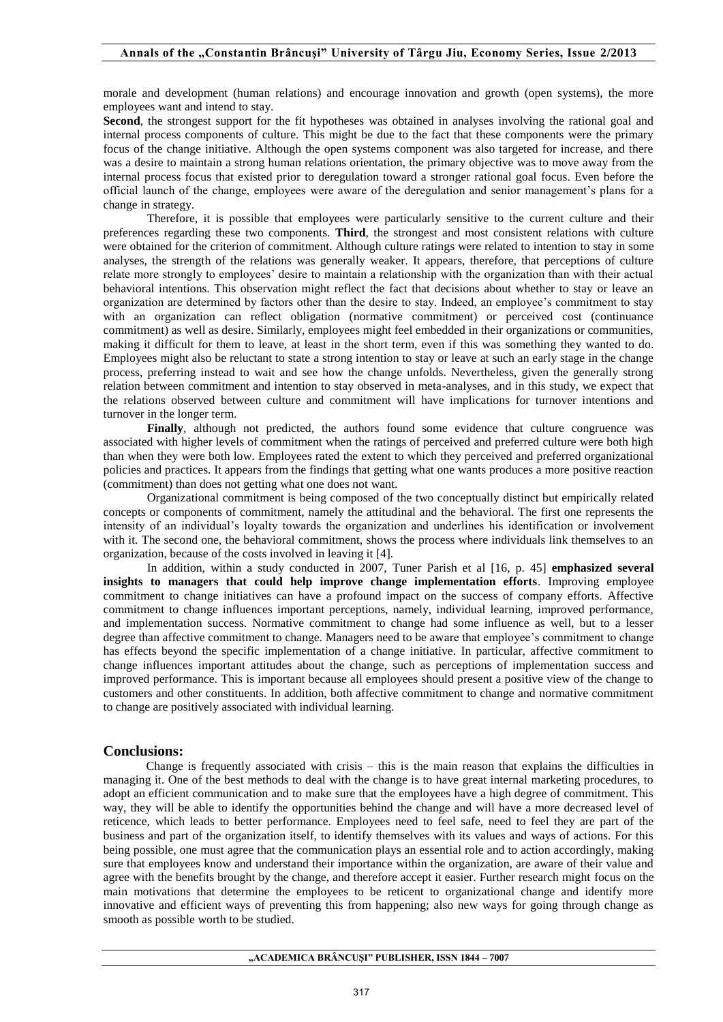morale and development (human relations) and encourage innovation and growth (open systems), the more employees want and intend to stay.

**Second**, the strongest support for the fit hypotheses was obtained in analyses involving the rational goal and internal process components of culture. This might be due to the fact that these components were the primary focus of the change initiative. Although the open systems component was also targeted for increase, and there was a desire to maintain a strong human relations orientation, the primary objective was to move away from the internal process focus that existed prior to deregulation toward a stronger rational goal focus. Even before the official launch of the change, employees were aware of the deregulation and senior management's plans for a change in strategy.

 Therefore, it is possible that employees were particularly sensitive to the current culture and their preferences regarding these two components. **Third**, the strongest and most consistent relations with culture were obtained for the criterion of commitment. Although culture ratings were related to intention to stay in some analyses, the strength of the relations was generally weaker. It appears, therefore, that perceptions of culture relate more strongly to employees' desire to maintain a relationship with the organization than with their actual behavioral intentions. This observation might reflect the fact that decisions about whether to stay or leave an organization are determined by factors other than the desire to stay. Indeed, an employee's commitment to stay with an organization can reflect obligation (normative commitment) or perceived cost (continuance commitment) as well as desire. Similarly, employees might feel embedded in their organizations or communities, making it difficult for them to leave, at least in the short term, even if this was something they wanted to do. Employees might also be reluctant to state a strong intention to stay or leave at such an early stage in the change process, preferring instead to wait and see how the change unfolds. Nevertheless, given the generally strong relation between commitment and intention to stay observed in meta-analyses, and in this study, we expect that the relations observed between culture and commitment will have implications for turnover intentions and turnover in the longer term.

**Finally**, although not predicted, the authors found some evidence that culture congruence was associated with higher levels of commitment when the ratings of perceived and preferred culture were both high than when they were both low. Employees rated the extent to which they perceived and preferred organizational policies and practices. It appears from the findings that getting what one wants produces a more positive reaction (commitment) than does not getting what one does not want.

Organizational commitment is being composed of the two conceptually distinct but empirically related concepts or components of commitment, namely the attitudinal and the behavioral. The first one represents the intensity of an individual's loyalty towards the organization and underlines his identification or involvement with it. The second one, the behavioral commitment, shows the process where individuals link themselves to an organization, because of the costs involved in leaving it [4].

In addition, within a study conducted in 2007, Tuner Parish et al [16, p. 45] **emphasized several insights to managers that could help improve change implementation efforts**. Improving employee commitment to change initiatives can have a profound impact on the success of company efforts. Affective commitment to change influences important perceptions, namely, individual learning, improved performance, and implementation success. Normative commitment to change had some influence as well, but to a lesser degree than affective commitment to change. Managers need to be aware that employee's commitment to change has effects beyond the specific implementation of a change initiative. In particular, affective commitment to change influences important attitudes about the change, such as perceptions of implementation success and improved performance. This is important because all employees should present a positive view of the change to customers and other constituents. In addition, both affective commitment to change and normative commitment to change are positively associated with individual learning.

## **Conclusions:**

Change is frequently associated with crisis – this is the main reason that explains the difficulties in managing it. One of the best methods to deal with the change is to have great internal marketing procedures, to adopt an efficient communication and to make sure that the employees have a high degree of commitment. This way, they will be able to identify the opportunities behind the change and will have a more decreased level of reticence, which leads to better performance. Employees need to feel safe, need to feel they are part of the business and part of the organization itself, to identify themselves with its values and ways of actions. For this being possible, one must agree that the communication plays an essential role and to action accordingly, making sure that employees know and understand their importance within the organization, are aware of their value and agree with the benefits brought by the change, and therefore accept it easier. Further research might focus on the main motivations that determine the employees to be reticent to organizational change and identify more innovative and efficient ways of preventing this from happening; also new ways for going through change as smooth as possible worth to be studied.